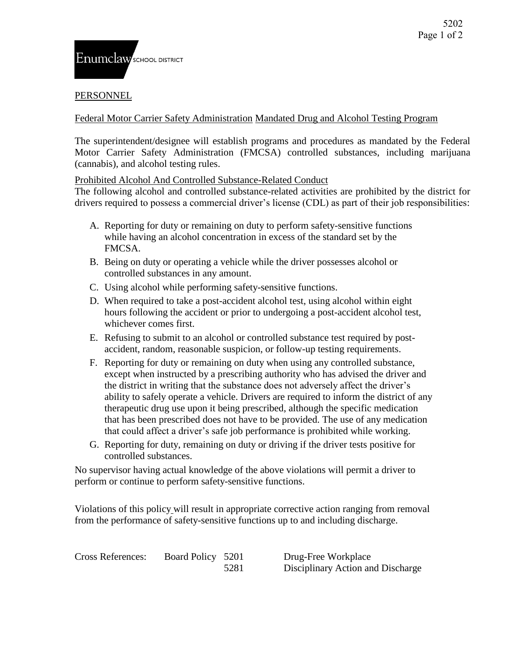## **PERSONNEL**

Federal Motor Carrier Safety Administration Mandated Drug and Alcohol Testing Program

The superintendent/designee will establish programs and procedures as mandated by the Federal Motor Carrier Safety Administration (FMCSA) controlled substances, including marijuana (cannabis), and alcohol testing rules.

Prohibited Alcohol And Controlled Substance-Related Conduct

The following alcohol and controlled substance-related activities are prohibited by the district for drivers required to possess a commercial driver's license (CDL) as part of their job responsibilities:

- A. Reporting for duty or remaining on duty to perform safety-sensitive functions while having an alcohol concentration in excess of the standard set by the FMCSA.
- B. Being on duty or operating a vehicle while the driver possesses alcohol or controlled substances in any amount.
- C. Using alcohol while performing safety-sensitive functions.
- D. When required to take a post-accident alcohol test, using alcohol within eight hours following the accident or prior to undergoing a post-accident alcohol test, whichever comes first.
- E. Refusing to submit to an alcohol or controlled substance test required by postaccident, random, reasonable suspicion, or follow-up testing requirements.
- F. Reporting for duty or remaining on duty when using any controlled substance, except when instructed by a prescribing authority who has advised the driver and the district in writing that the substance does not adversely affect the driver's ability to safely operate a vehicle. Drivers are required to inform the district of any therapeutic drug use upon it being prescribed, although the specific medication that has been prescribed does not have to be provided. The use of any medication that could affect a driver's safe job performance is prohibited while working.
- G. Reporting for duty, remaining on duty or driving if the driver tests positive for controlled substances.

No supervisor having actual knowledge of the above violations will permit a driver to perform or continue to perform safety-sensitive functions.

Violations of this policy will result in appropriate corrective action ranging from removal from the performance of safety-sensitive functions up to and including discharge.

Cross References: Board Policy 5201 Drug-Free Workplace

5281 Disciplinary Action and Discharge